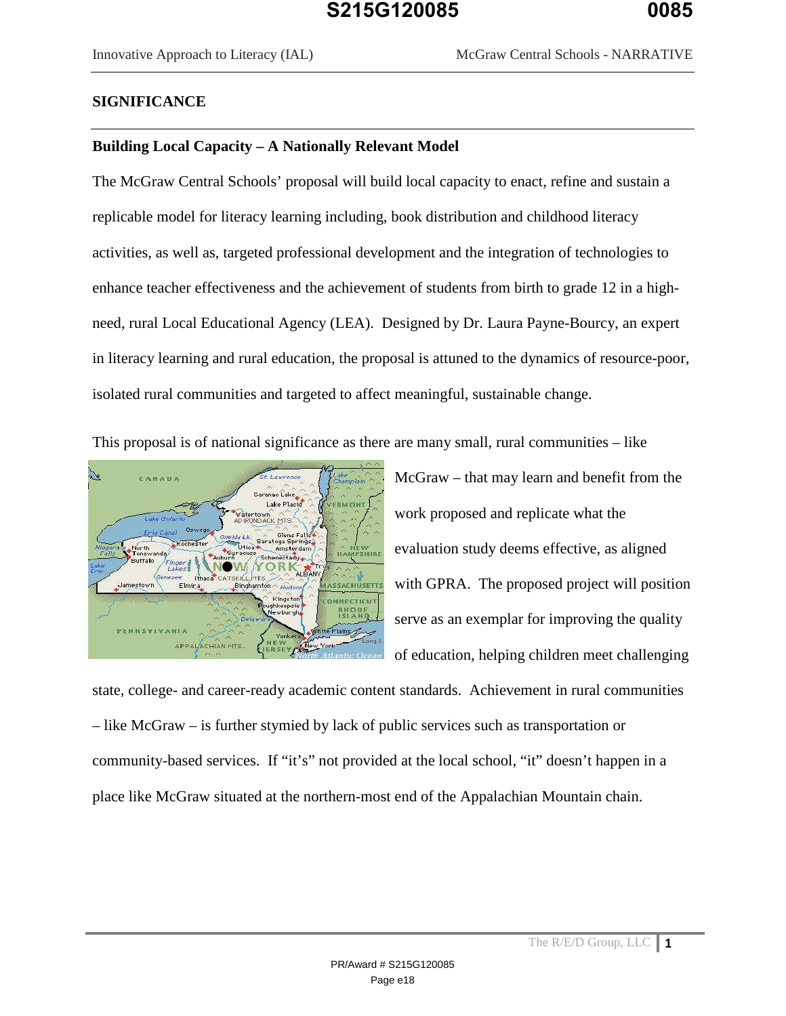#### **SIGNIFICANCE**

#### **Building Local Capacity – A Nationally Relevant Model**

The McGraw Central Schools' proposal will build local capacity to enact, refine and sustain a replicable model for literacy learning including, book distribution and childhood literacy activities, as well as, targeted professional development and the integration of technologies to enhance teacher effectiveness and the achievement of students from birth to grade 12 in a highneed, rural Local Educational Agency (LEA). Designed by Dr. Laura Payne-Bourcy, an expert in literacy learning and rural education, the proposal is attuned to the dynamics of resource-poor, isolated rural communities and targeted to affect meaningful, sustainable change.

This proposal is of national significance as there are many small, rural communities – like



McGraw – that may learn and benefit from the work proposed and replicate what the evaluation study deems effective, as aligned with GPRA. The proposed project will position serve as an exemplar for improving the quality of education, helping children meet challenging

state, college- and career-ready academic content standards. Achievement in rural communities – like McGraw – is further stymied by lack of public services such as transportation or community-based services. If "it's" not provided at the local school, "it" doesn't happen in a place like McGraw situated at the northern-most end of the Appalachian Mountain chain.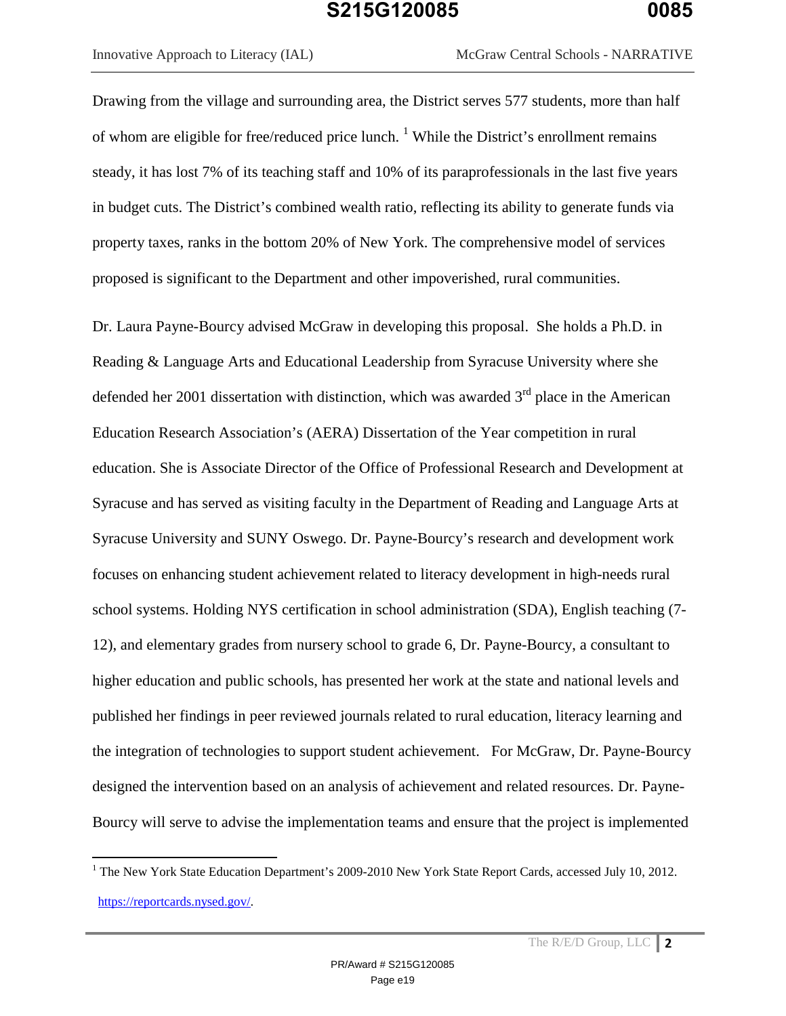$\overline{a}$ 

Innovative Approach to Literacy (IAL) McGraw Central Schools - NARRATIVE

Drawing from the village and surrounding area, the District serves 577 students, more than half of whom are eligible for free/reduced price lunch.  $1$  While the District's enrollment remains steady, it has lost 7% of its teaching staff and 10% of its paraprofessionals in the last five years in budget cuts. The District's combined wealth ratio, reflecting its ability to generate funds via property taxes, ranks in the bottom 20% of New York. The comprehensive model of services proposed is significant to the Department and other impoverished, rural communities.

Dr. Laura Payne-Bourcy advised McGraw in developing this proposal. She holds a Ph.D. in Reading & Language Arts and Educational Leadership from Syracuse University where she defended her 2001 dissertation with distinction, which was awarded  $3<sup>rd</sup>$  place in the American Education Research Association's (AERA) Dissertation of the Year competition in rural education. She is Associate Director of the Office of Professional Research and Development at Syracuse and has served as visiting faculty in the Department of Reading and Language Arts at Syracuse University and SUNY Oswego. Dr. Payne-Bourcy's research and development work focuses on enhancing student achievement related to literacy development in high-needs rural school systems. Holding NYS certification in school administration (SDA), English teaching (7- 12), and elementary grades from nursery school to grade 6, Dr. Payne-Bourcy, a consultant to higher education and public schools, has presented her work at the state and national levels and published her findings in peer reviewed journals related to rural education, literacy learning and the integration of technologies to support student achievement. For McGraw, Dr. Payne-Bourcy designed the intervention based on an analysis of achievement and related resources. Dr. Payne-Bourcy will serve to advise the implementation teams and ensure that the project is implemented

<sup>&</sup>lt;sup>1</sup> The New York State Education Department's 2009-2010 New York State Report Cards, accessed July 10, 2012. https://reportcards.nysed.gov/.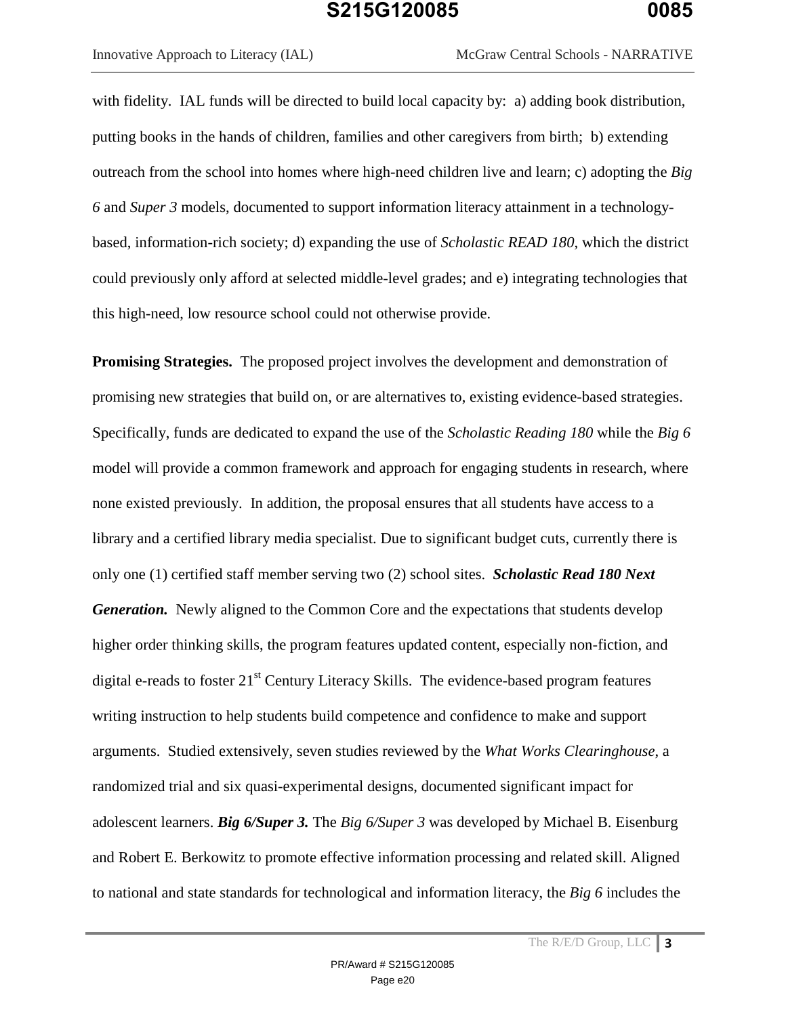with fidelity. IAL funds will be directed to build local capacity by: a) adding book distribution, putting books in the hands of children, families and other caregivers from birth; b) extending outreach from the school into homes where high-need children live and learn; c) adopting the *Big 6* and *Super 3* models, documented to support information literacy attainment in a technologybased, information-rich society; d) expanding the use of *Scholastic READ 180*, which the district could previously only afford at selected middle-level grades; and e) integrating technologies that this high-need, low resource school could not otherwise provide.

**Promising Strategies.** The proposed project involves the development and demonstration of promising new strategies that build on, or are alternatives to, existing evidence-based strategies. Specifically, funds are dedicated to expand the use of the *Scholastic Reading 180* while the *Big 6* model will provide a common framework and approach for engaging students in research, where none existed previously. In addition, the proposal ensures that all students have access to a library and a certified library media specialist. Due to significant budget cuts, currently there is only one (1) certified staff member serving two (2) school sites. *Scholastic Read 180 Next Generation.* Newly aligned to the Common Core and the expectations that students develop higher order thinking skills, the program features updated content, especially non-fiction, and digital e-reads to foster  $21<sup>st</sup>$  Century Literacy Skills. The evidence-based program features writing instruction to help students build competence and confidence to make and support arguments. Studied extensively, seven studies reviewed by the *What Works Clearinghouse*, a randomized trial and six quasi-experimental designs, documented significant impact for adolescent learners. *Big 6/Super 3.* The *Big 6/Super 3* was developed by Michael B. Eisenburg and Robert E. Berkowitz to promote effective information processing and related skill. Aligned to national and state standards for technological and information literacy, the *Big 6* includes the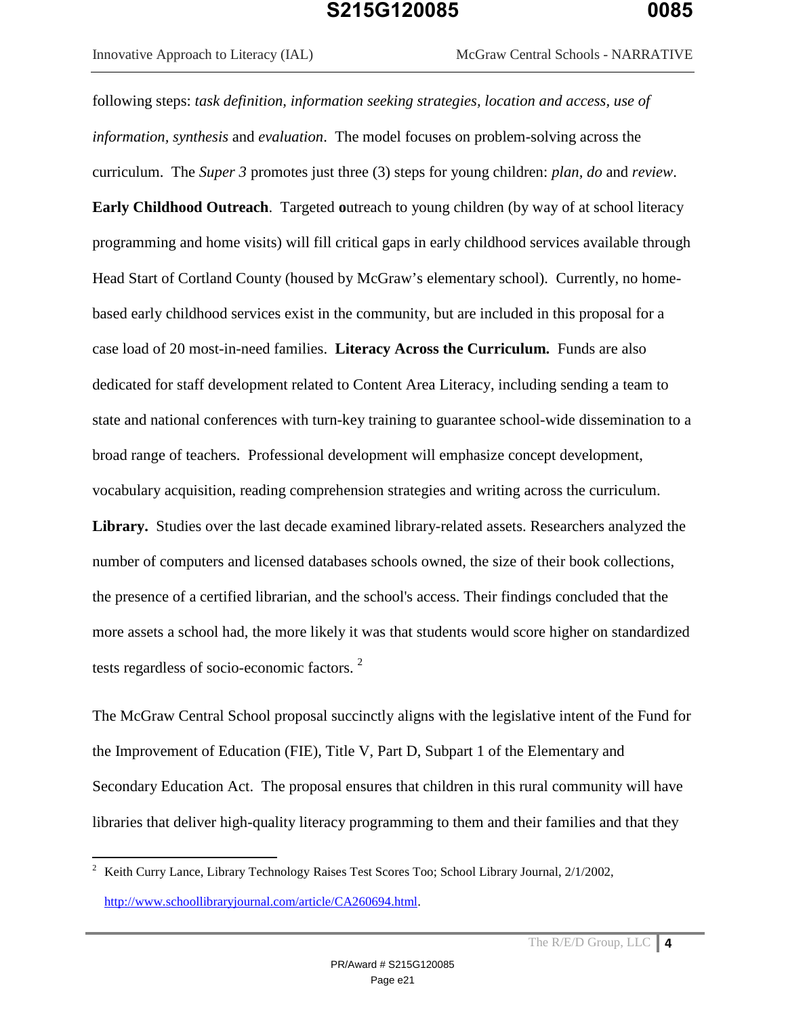Innovative Approach to Literacy (IAL) McGraw Central Schools - NARRATIVE

following steps: *task definition, information seeking strategies, location and access, use of information, synthesis* and *evaluation*. The model focuses on problem-solving across the curriculum. The *Super 3* promotes just three (3) steps for young children: *plan, do* and *review*. **Early Childhood Outreach.** Targeted outreach to young children (by way of at school literacy programming and home visits) will fill critical gaps in early childhood services available through Head Start of Cortland County (housed by McGraw's elementary school). Currently, no homebased early childhood services exist in the community, but are included in this proposal for a case load of 20 most-in-need families. **Literacy Across the Curriculum.** Funds are also dedicated for staff development related to Content Area Literacy, including sending a team to state and national conferences with turn-key training to guarantee school-wide dissemination to a broad range of teachers. Professional development will emphasize concept development, vocabulary acquisition, reading comprehension strategies and writing across the curriculum. **Library.** Studies over the last decade examined library-related assets. Researchers analyzed the number of computers and licensed databases schools owned, the size of their book collections, the presence of a certified librarian, and the school's access. Their findings concluded that the more assets a school had, the more likely it was that students would score higher on standardized tests regardless of socio-economic factors. $2$ 

The McGraw Central School proposal succinctly aligns with the legislative intent of the Fund for the Improvement of Education (FIE), Title V, Part D, Subpart 1 of the Elementary and Secondary Education Act. The proposal ensures that children in this rural community will have libraries that deliver high-quality literacy programming to them and their families and that they

 $\overline{a}$ 

<sup>&</sup>lt;sup>2</sup> Keith Curry Lance, Library Technology Raises Test Scores Too; School Library Journal, 2/1/2002, http://www.schoollibraryjournal.com/article/CA260694.html.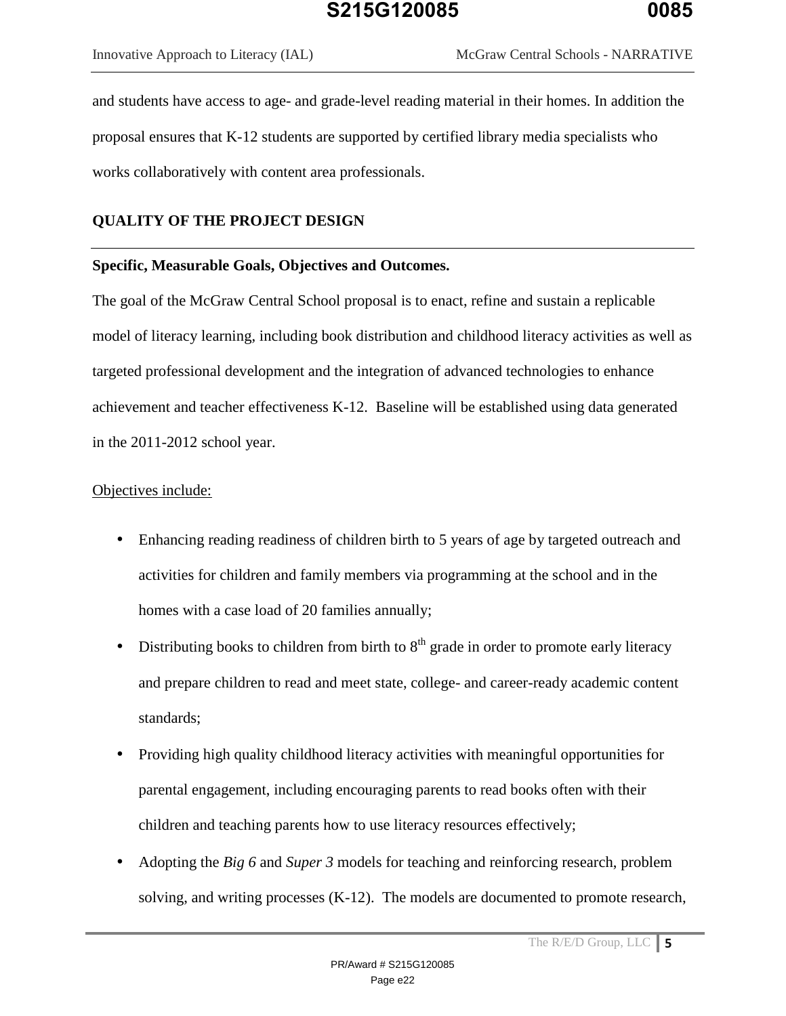and students have access to age- and grade-level reading material in their homes. In addition the proposal ensures that K-12 students are supported by certified library media specialists who works collaboratively with content area professionals.

#### **QUALITY OF THE PROJECT DESIGN**

#### **Specific, Measurable Goals, Objectives and Outcomes.**

The goal of the McGraw Central School proposal is to enact, refine and sustain a replicable model of literacy learning, including book distribution and childhood literacy activities as well as targeted professional development and the integration of advanced technologies to enhance achievement and teacher effectiveness K-12. Baseline will be established using data generated in the 2011-2012 school year.

#### Objectives include:

- Enhancing reading readiness of children birth to 5 years of age by targeted outreach and activities for children and family members via programming at the school and in the homes with a case load of 20 families annually;
- Distributing books to children from birth to  $8<sup>th</sup>$  grade in order to promote early literacy and prepare children to read and meet state, college- and career-ready academic content standards;
- Providing high quality childhood literacy activities with meaningful opportunities for parental engagement, including encouraging parents to read books often with their children and teaching parents how to use literacy resources effectively;
- Adopting the *Big 6* and *Super 3* models for teaching and reinforcing research, problem solving, and writing processes (K-12). The models are documented to promote research,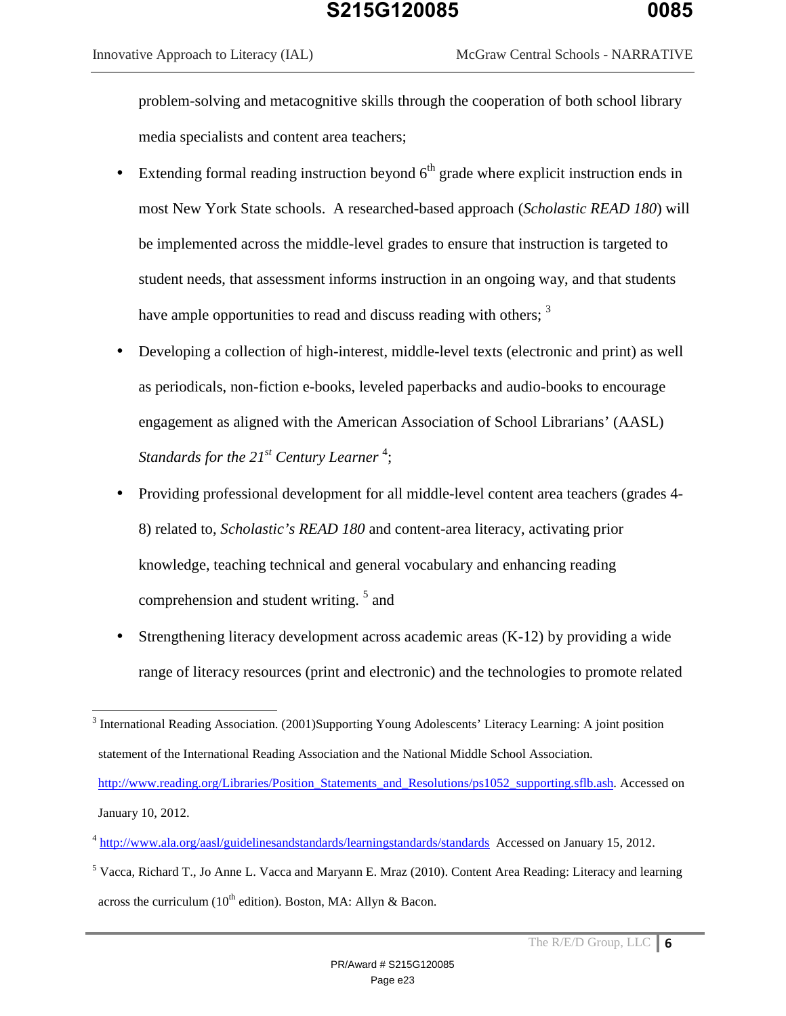$\overline{a}$ 

problem-solving and metacognitive skills through the cooperation of both school library media specialists and content area teachers;

- Extending formal reading instruction beyond  $6<sup>th</sup>$  grade where explicit instruction ends in most New York State schools. A researched-based approach (*Scholastic READ 180*) will be implemented across the middle-level grades to ensure that instruction is targeted to student needs, that assessment informs instruction in an ongoing way, and that students have ample opportunities to read and discuss reading with others;  $3<sup>3</sup>$
- Developing a collection of high-interest, middle-level texts (electronic and print) as well as periodicals, non-fiction e-books, leveled paperbacks and audio-books to encourage engagement as aligned with the American Association of School Librarians' (AASL) *Standards for the 21st Century Learner* <sup>4</sup> ;
- Providing professional development for all middle-level content area teachers (grades 4- 8) related to, *Scholastic's READ 180* and content-area literacy, activating prior knowledge, teaching technical and general vocabulary and enhancing reading comprehension and student writing. <sup>5</sup> and
- Strengthening literacy development across academic areas (K-12) by providing a wide range of literacy resources (print and electronic) and the technologies to promote related

<sup>&</sup>lt;sup>3</sup> International Reading Association. (2001)Supporting Young Adolescents' Literacy Learning: A joint position statement of the International Reading Association and the National Middle School Association. http://www.reading.org/Libraries/Position\_Statements\_and\_Resolutions/ps1052\_supporting.sflb.ash. Accessed on January 10, 2012.

<sup>&</sup>lt;sup>4</sup> http://www.ala.org/aasl/guidelinesandstandards/learningstandards/standards Accessed on January 15, 2012.

<sup>&</sup>lt;sup>5</sup> Vacca, Richard T., Jo Anne L. Vacca and Maryann E. Mraz (2010). Content Area Reading: Literacy and learning across the curriculum ( $10<sup>th</sup>$  edition). Boston, MA: Allyn & Bacon.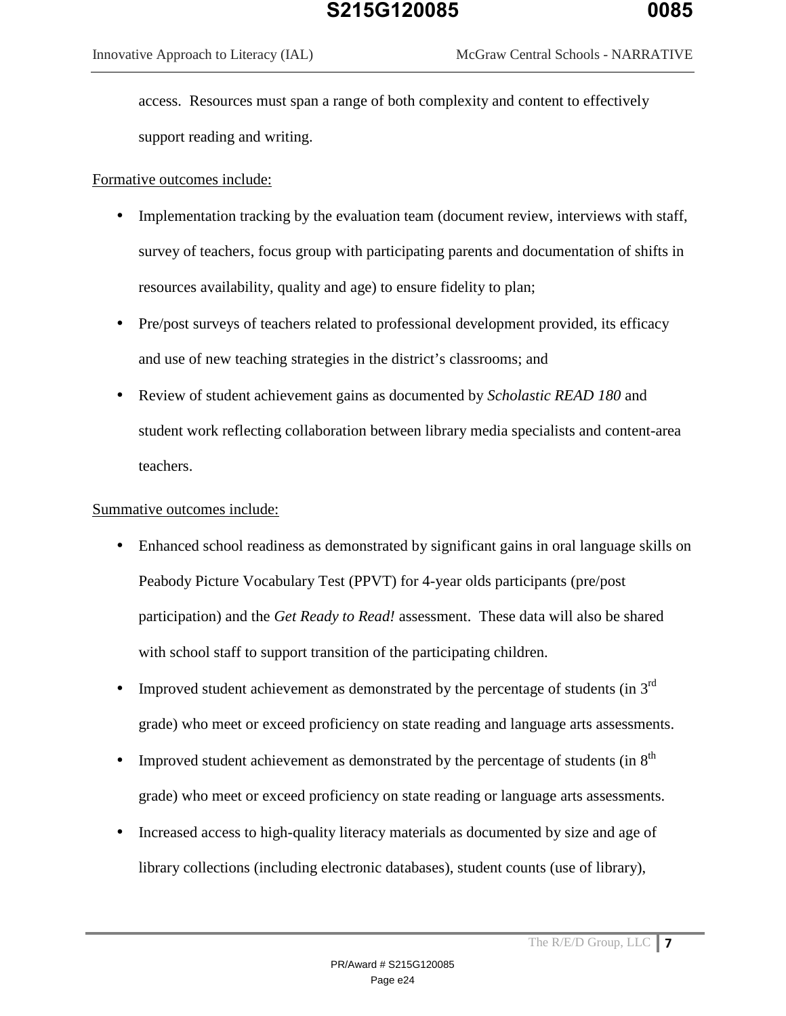access. Resources must span a range of both complexity and content to effectively support reading and writing.

## Formative outcomes include:

- Implementation tracking by the evaluation team (document review, interviews with staff, survey of teachers, focus group with participating parents and documentation of shifts in resources availability, quality and age) to ensure fidelity to plan;
- Pre/post surveys of teachers related to professional development provided, its efficacy and use of new teaching strategies in the district's classrooms; and
- Review of student achievement gains as documented by *Scholastic READ 180* and student work reflecting collaboration between library media specialists and content-area teachers.

## Summative outcomes include:

- Enhanced school readiness as demonstrated by significant gains in oral language skills on Peabody Picture Vocabulary Test (PPVT) for 4-year olds participants (pre/post participation) and the *Get Ready to Read!* assessment. These data will also be shared with school staff to support transition of the participating children.
- Improved student achievement as demonstrated by the percentage of students (in  $3<sup>rd</sup>$ grade) who meet or exceed proficiency on state reading and language arts assessments.
- Improved student achievement as demonstrated by the percentage of students (in  $8<sup>th</sup>$ ) grade) who meet or exceed proficiency on state reading or language arts assessments.
- Increased access to high-quality literacy materials as documented by size and age of library collections (including electronic databases), student counts (use of library),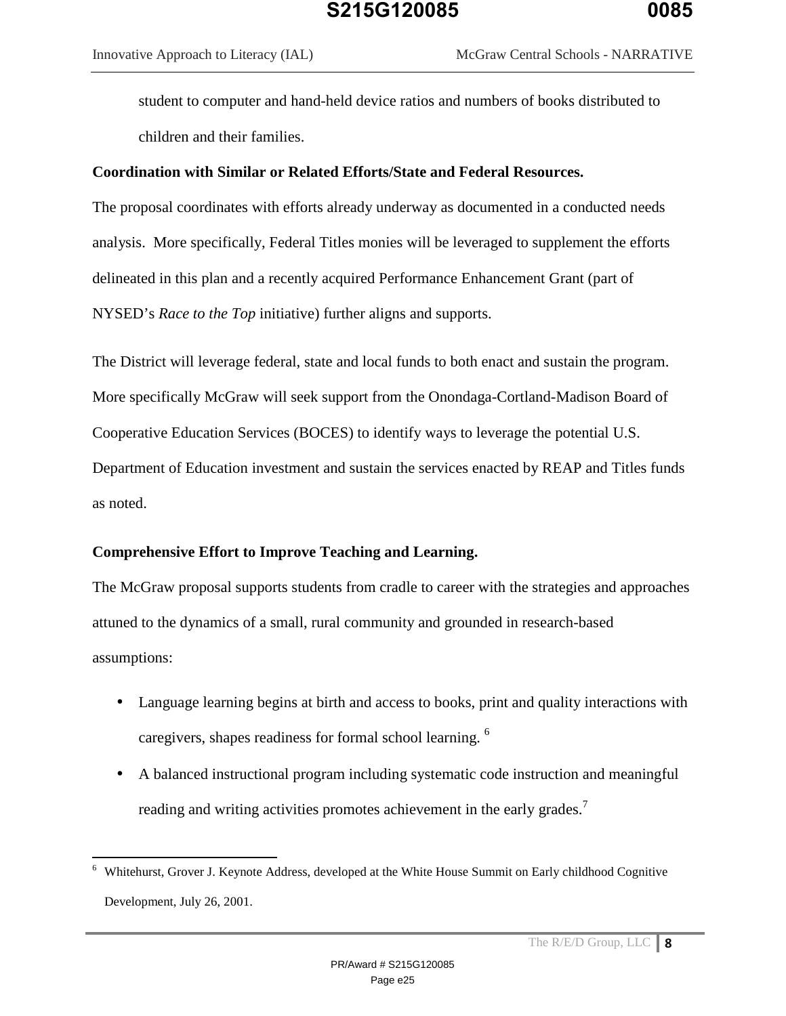student to computer and hand-held device ratios and numbers of books distributed to children and their families.

### **Coordination with Similar or Related Efforts/State and Federal Resources.**

The proposal coordinates with efforts already underway as documented in a conducted needs analysis. More specifically, Federal Titles monies will be leveraged to supplement the efforts delineated in this plan and a recently acquired Performance Enhancement Grant (part of NYSED's *Race to the Top* initiative) further aligns and supports.

The District will leverage federal, state and local funds to both enact and sustain the program. More specifically McGraw will seek support from the Onondaga-Cortland-Madison Board of Cooperative Education Services (BOCES) to identify ways to leverage the potential U.S. Department of Education investment and sustain the services enacted by REAP and Titles funds as noted.

#### **Comprehensive Effort to Improve Teaching and Learning.**

 $\overline{a}$ 

The McGraw proposal supports students from cradle to career with the strategies and approaches attuned to the dynamics of a small, rural community and grounded in research-based assumptions:

- Language learning begins at birth and access to books, print and quality interactions with caregivers, shapes readiness for formal school learning. <sup>6</sup>
- A balanced instructional program including systematic code instruction and meaningful reading and writing activities promotes achievement in the early grades.<sup>7</sup>

<sup>&</sup>lt;sup>6</sup> Whitehurst, Grover J. Keynote Address, developed at the White House Summit on Early childhood Cognitive Development, July 26, 2001.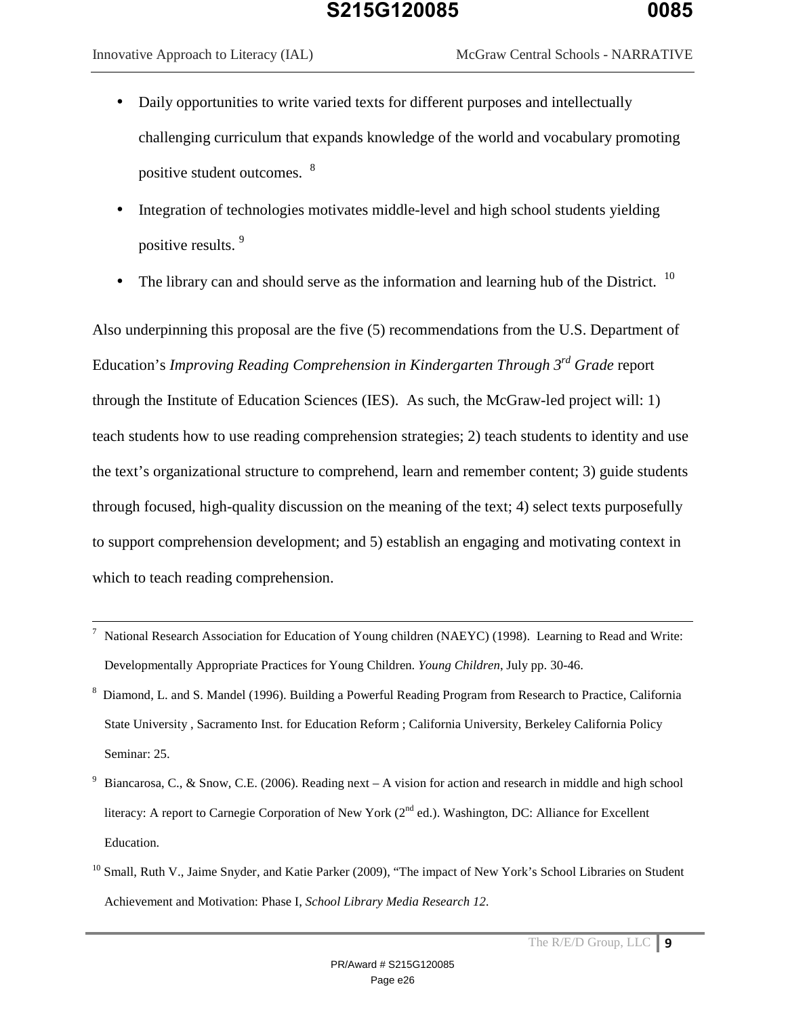$\overline{a}$ 

- Daily opportunities to write varied texts for different purposes and intellectually challenging curriculum that expands knowledge of the world and vocabulary promoting positive student outcomes. <sup>8</sup>
- Integration of technologies motivates middle-level and high school students yielding positive results. <sup>9</sup>
- The library can and should serve as the information and learning hub of the District.  $10$

Also underpinning this proposal are the five (5) recommendations from the U.S. Department of Education's *Improving Reading Comprehension in Kindergarten Through 3rd Grade* report through the Institute of Education Sciences (IES). As such, the McGraw-led project will: 1) teach students how to use reading comprehension strategies; 2) teach students to identity and use the text's organizational structure to comprehend, learn and remember content; 3) guide students through focused, high-quality discussion on the meaning of the text; 4) select texts purposefully to support comprehension development; and 5) establish an engaging and motivating context in which to teach reading comprehension.

- 7 National Research Association for Education of Young children (NAEYC) (1998). Learning to Read and Write: Developmentally Appropriate Practices for Young Children. *Young Children*, July pp. 30-46.
- <sup>8</sup> Diamond, L. and S. Mandel (1996). Building a Powerful Reading Program from Research to Practice, California State University , Sacramento Inst. for Education Reform ; California University, Berkeley California Policy Seminar: 25.
- 9 Biancarosa, C., & Snow, C.E. (2006). Reading next – A vision for action and research in middle and high school literacy: A report to Carnegie Corporation of New York  $(2^{nd}$  ed.). Washington, DC: Alliance for Excellent Education.
- <sup>10</sup> Small, Ruth V., Jaime Snyder, and Katie Parker (2009), "The impact of New York's School Libraries on Student Achievement and Motivation: Phase I, *School Library Media Research 12.*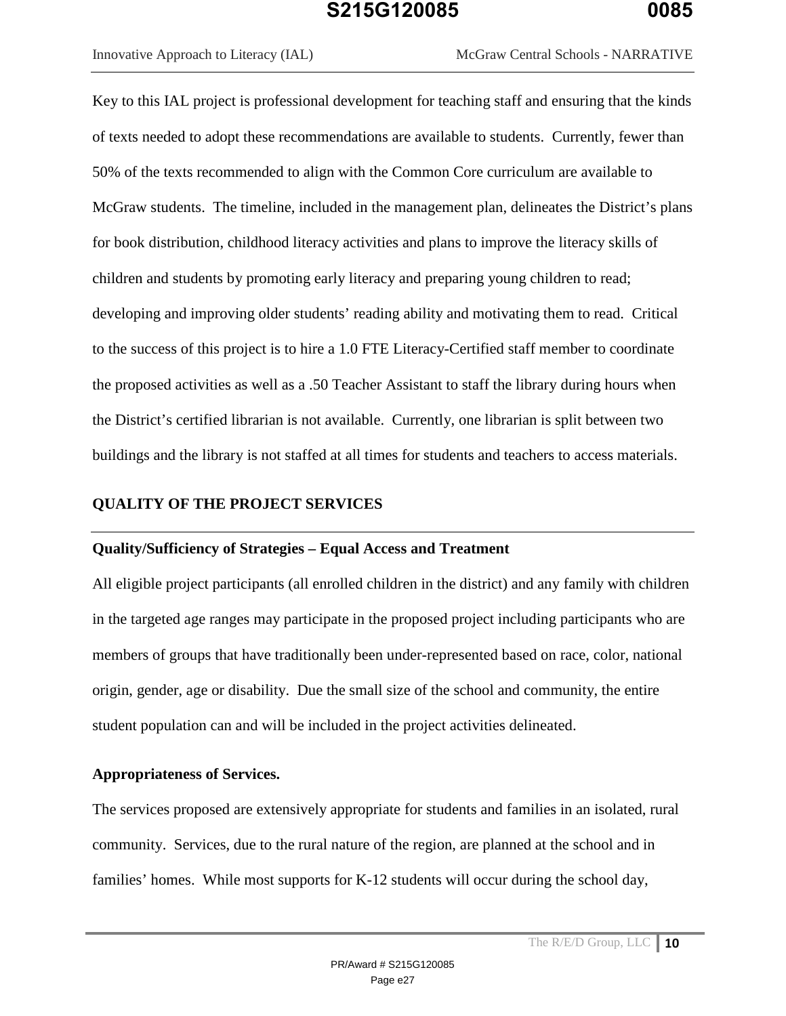Key to this IAL project is professional development for teaching staff and ensuring that the kinds of texts needed to adopt these recommendations are available to students. Currently, fewer than 50% of the texts recommended to align with the Common Core curriculum are available to McGraw students. The timeline, included in the management plan, delineates the District's plans for book distribution, childhood literacy activities and plans to improve the literacy skills of children and students by promoting early literacy and preparing young children to read; developing and improving older students' reading ability and motivating them to read. Critical to the success of this project is to hire a 1.0 FTE Literacy-Certified staff member to coordinate the proposed activities as well as a .50 Teacher Assistant to staff the library during hours when the District's certified librarian is not available. Currently, one librarian is split between two buildings and the library is not staffed at all times for students and teachers to access materials.

#### **QUALITY OF THE PROJECT SERVICES**

#### **Quality/Sufficiency of Strategies – Equal Access and Treatment**

All eligible project participants (all enrolled children in the district) and any family with children in the targeted age ranges may participate in the proposed project including participants who are members of groups that have traditionally been under-represented based on race, color, national origin, gender, age or disability. Due the small size of the school and community, the entire student population can and will be included in the project activities delineated.

#### **Appropriateness of Services.**

The services proposed are extensively appropriate for students and families in an isolated, rural community. Services, due to the rural nature of the region, are planned at the school and in families' homes. While most supports for K-12 students will occur during the school day,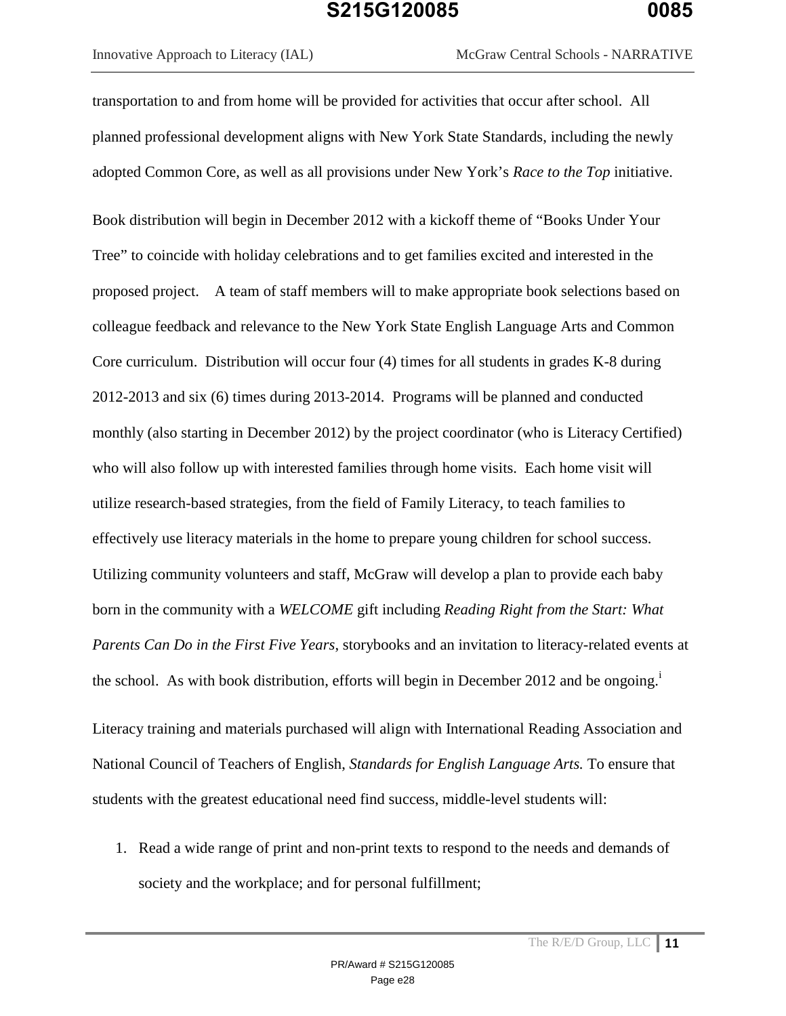Innovative Approach to Literacy (IAL) McGraw Central Schools - NARRATIVE

transportation to and from home will be provided for activities that occur after school. All planned professional development aligns with New York State Standards, including the newly adopted Common Core, as well as all provisions under New York's *Race to the Top* initiative.

Book distribution will begin in December 2012 with a kickoff theme of "Books Under Your Tree" to coincide with holiday celebrations and to get families excited and interested in the proposed project. A team of staff members will to make appropriate book selections based on colleague feedback and relevance to the New York State English Language Arts and Common Core curriculum. Distribution will occur four (4) times for all students in grades K-8 during 2012-2013 and six (6) times during 2013-2014. Programs will be planned and conducted monthly (also starting in December 2012) by the project coordinator (who is Literacy Certified) who will also follow up with interested families through home visits. Each home visit will utilize research-based strategies, from the field of Family Literacy, to teach families to effectively use literacy materials in the home to prepare young children for school success. Utilizing community volunteers and staff, McGraw will develop a plan to provide each baby born in the community with a *WELCOME* gift including *Reading Right from the Start: What Parents Can Do in the First Five Years*, storybooks and an invitation to literacy-related events at the school. As with book distribution, efforts will begin in December 2012 and be ongoing.<sup>i</sup>

Literacy training and materials purchased will align with International Reading Association and National Council of Teachers of English, *Standards for English Language Arts.* To ensure that students with the greatest educational need find success, middle-level students will:

1. Read a wide range of print and non-print texts to respond to the needs and demands of society and the workplace; and for personal fulfillment;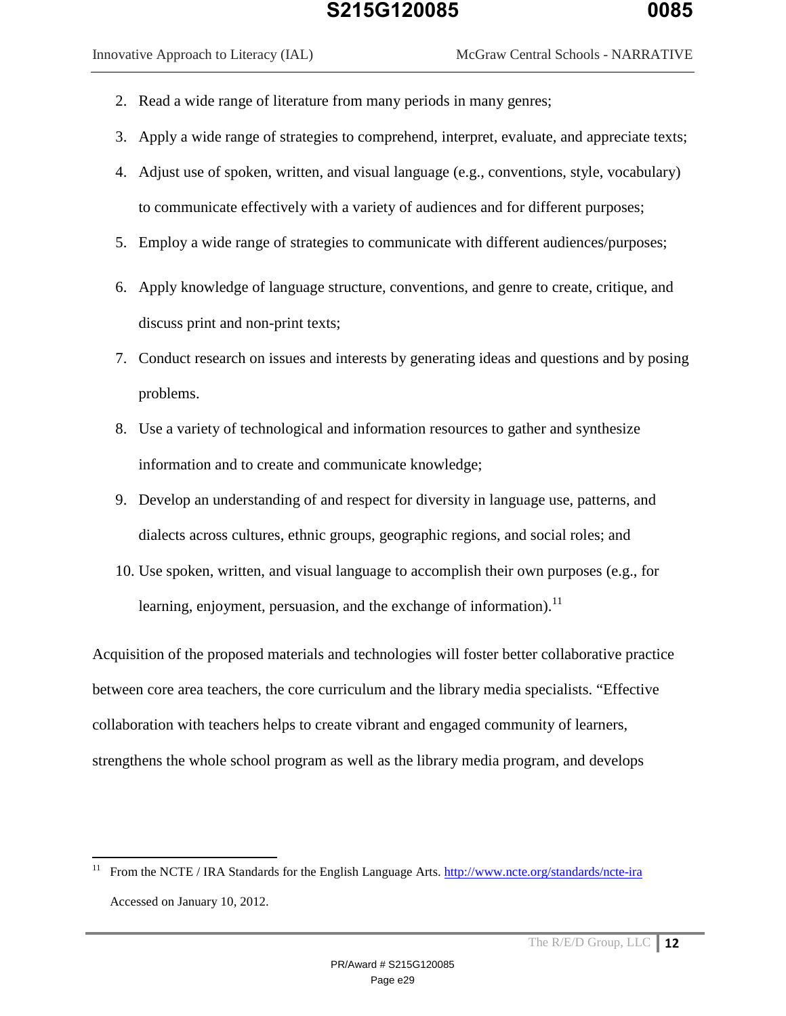$\overline{a}$ 

- 2. Read a wide range of literature from many periods in many genres;
- 3. Apply a wide range of strategies to comprehend, interpret, evaluate, and appreciate texts;
- 4. Adjust use of spoken, written, and visual language (e.g., conventions, style, vocabulary) to communicate effectively with a variety of audiences and for different purposes;
- 5. Employ a wide range of strategies to communicate with different audiences/purposes;
- 6. Apply knowledge of language structure, conventions, and genre to create, critique, and discuss print and non-print texts;
- 7. Conduct research on issues and interests by generating ideas and questions and by posing problems.
- 8. Use a variety of technological and information resources to gather and synthesize information and to create and communicate knowledge;
- 9. Develop an understanding of and respect for diversity in language use, patterns, and dialects across cultures, ethnic groups, geographic regions, and social roles; and
- 10. Use spoken, written, and visual language to accomplish their own purposes (e.g., for learning, enjoyment, persuasion, and the exchange of information). $^{11}$

Acquisition of the proposed materials and technologies will foster better collaborative practice between core area teachers, the core curriculum and the library media specialists. "Effective collaboration with teachers helps to create vibrant and engaged community of learners, strengthens the whole school program as well as the library media program, and develops

<sup>&</sup>lt;sup>11</sup> From the NCTE / IRA Standards for the English Language Arts. http://www.ncte.org/standards/ncte-ira Accessed on January 10, 2012.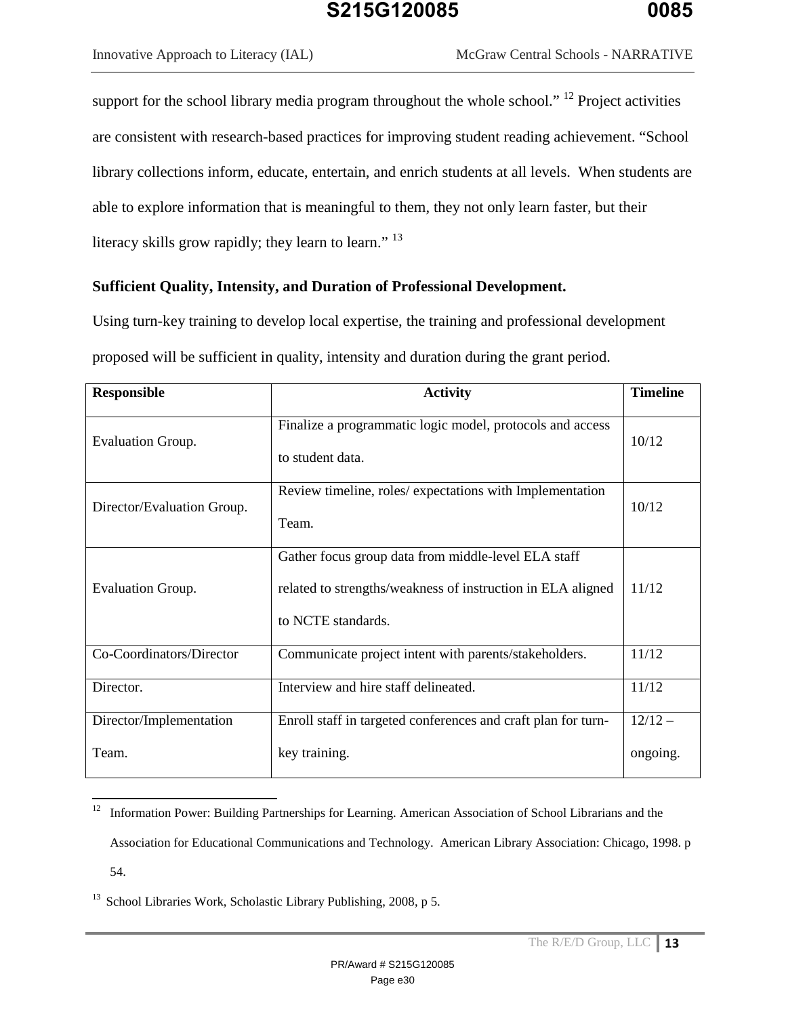support for the school library media program throughout the whole school." <sup>12</sup> Project activities are consistent with research-based practices for improving student reading achievement. "School library collections inform, educate, entertain, and enrich students at all levels. When students are able to explore information that is meaningful to them, they not only learn faster, but their literacy skills grow rapidly; they learn to learn."<sup>13</sup>

#### **Sufficient Quality, Intensity, and Duration of Professional Development.**

Using turn-key training to develop local expertise, the training and professional development proposed will be sufficient in quality, intensity and duration during the grant period.

| <b>Responsible</b>         | <b>Activity</b>                                                                                                                          | <b>Timeline</b> |
|----------------------------|------------------------------------------------------------------------------------------------------------------------------------------|-----------------|
| <b>Evaluation Group.</b>   | Finalize a programmatic logic model, protocols and access<br>to student data.                                                            | 10/12           |
| Director/Evaluation Group. | Review timeline, roles/expectations with Implementation<br>Team.                                                                         | 10/12           |
| <b>Evaluation Group.</b>   | Gather focus group data from middle-level ELA staff<br>related to strengths/weakness of instruction in ELA aligned<br>to NCTE standards. | 11/12           |
| Co-Coordinators/Director   | Communicate project intent with parents/stakeholders.                                                                                    | 11/12           |
| Director.                  | Interview and hire staff delineated.                                                                                                     | 11/12           |
| Director/Implementation    | Enroll staff in targeted conferences and craft plan for turn-                                                                            | $12/12 -$       |
| Team.                      | key training.                                                                                                                            | ongoing.        |

<sup>&</sup>lt;sup>12</sup> Information Power: Building Partnerships for Learning. American Association of School Librarians and the Association for Educational Communications and Technology. American Library Association: Chicago, 1998. p 54.

 $13$  School Libraries Work, Scholastic Library Publishing, 2008, p 5.

 $\overline{a}$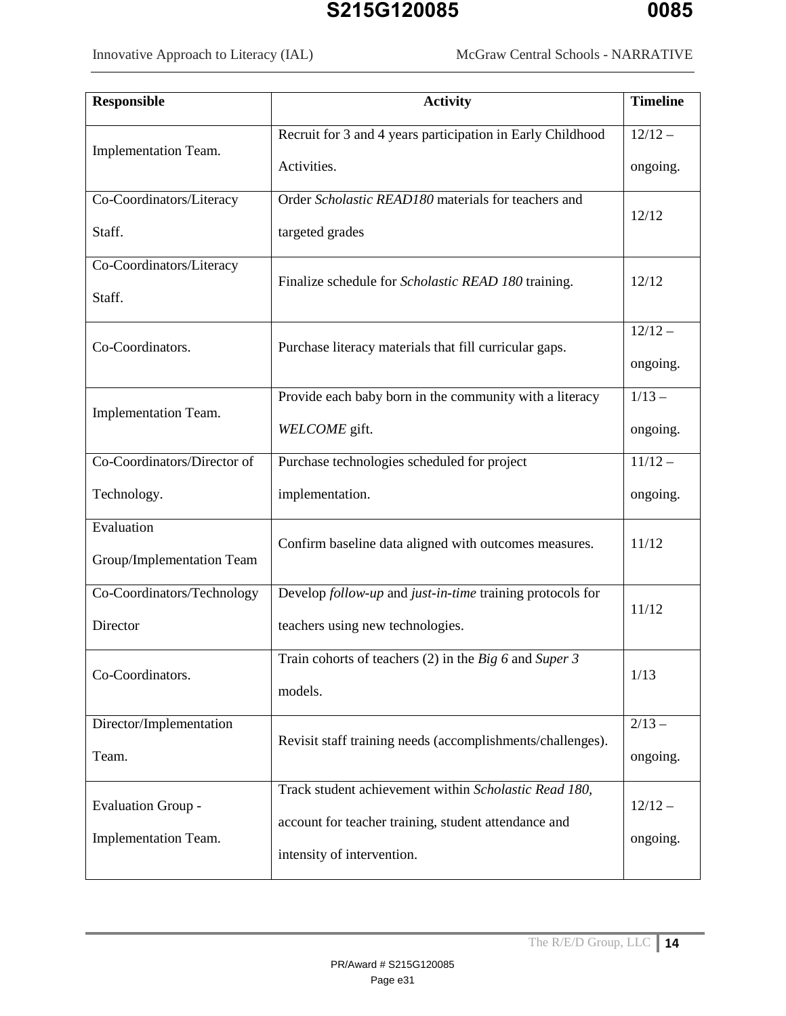| Recruit for 3 and 4 years participation in Early Childhood<br>$12/12 -$<br>Implementation Team.<br>Activities.<br>ongoing.<br>Order Scholastic READ180 materials for teachers and<br>Co-Coordinators/Literacy<br>12/12<br>Staff.<br>targeted grades<br>Co-Coordinators/Literacy<br>12/12<br>Finalize schedule for <i>Scholastic READ 180</i> training.<br>Staff.<br>$12/12 -$<br>Co-Coordinators.<br>Purchase literacy materials that fill curricular gaps.<br>ongoing.<br>$1/13 -$<br>Provide each baby born in the community with a literacy<br>Implementation Team.<br>WELCOME gift.<br>ongoing.<br>Co-Coordinators/Director of<br>Purchase technologies scheduled for project<br>$11/12 -$<br>Technology.<br>implementation.<br>ongoing.<br>Evaluation<br>Confirm baseline data aligned with outcomes measures.<br>11/12 | <b>Responsible</b>        | <b>Activity</b>                                            | <b>Timeline</b> |
|------------------------------------------------------------------------------------------------------------------------------------------------------------------------------------------------------------------------------------------------------------------------------------------------------------------------------------------------------------------------------------------------------------------------------------------------------------------------------------------------------------------------------------------------------------------------------------------------------------------------------------------------------------------------------------------------------------------------------------------------------------------------------------------------------------------------------|---------------------------|------------------------------------------------------------|-----------------|
|                                                                                                                                                                                                                                                                                                                                                                                                                                                                                                                                                                                                                                                                                                                                                                                                                              |                           |                                                            |                 |
|                                                                                                                                                                                                                                                                                                                                                                                                                                                                                                                                                                                                                                                                                                                                                                                                                              |                           |                                                            |                 |
|                                                                                                                                                                                                                                                                                                                                                                                                                                                                                                                                                                                                                                                                                                                                                                                                                              |                           |                                                            |                 |
|                                                                                                                                                                                                                                                                                                                                                                                                                                                                                                                                                                                                                                                                                                                                                                                                                              |                           |                                                            |                 |
|                                                                                                                                                                                                                                                                                                                                                                                                                                                                                                                                                                                                                                                                                                                                                                                                                              |                           |                                                            |                 |
|                                                                                                                                                                                                                                                                                                                                                                                                                                                                                                                                                                                                                                                                                                                                                                                                                              |                           |                                                            |                 |
|                                                                                                                                                                                                                                                                                                                                                                                                                                                                                                                                                                                                                                                                                                                                                                                                                              |                           |                                                            |                 |
|                                                                                                                                                                                                                                                                                                                                                                                                                                                                                                                                                                                                                                                                                                                                                                                                                              |                           |                                                            |                 |
|                                                                                                                                                                                                                                                                                                                                                                                                                                                                                                                                                                                                                                                                                                                                                                                                                              |                           |                                                            |                 |
|                                                                                                                                                                                                                                                                                                                                                                                                                                                                                                                                                                                                                                                                                                                                                                                                                              |                           |                                                            |                 |
|                                                                                                                                                                                                                                                                                                                                                                                                                                                                                                                                                                                                                                                                                                                                                                                                                              |                           |                                                            |                 |
|                                                                                                                                                                                                                                                                                                                                                                                                                                                                                                                                                                                                                                                                                                                                                                                                                              |                           |                                                            |                 |
|                                                                                                                                                                                                                                                                                                                                                                                                                                                                                                                                                                                                                                                                                                                                                                                                                              |                           |                                                            |                 |
|                                                                                                                                                                                                                                                                                                                                                                                                                                                                                                                                                                                                                                                                                                                                                                                                                              | Group/Implementation Team |                                                            |                 |
| Develop follow-up and just-in-time training protocols for<br>Co-Coordinators/Technology<br>11/12                                                                                                                                                                                                                                                                                                                                                                                                                                                                                                                                                                                                                                                                                                                             |                           |                                                            |                 |
| Director<br>teachers using new technologies.                                                                                                                                                                                                                                                                                                                                                                                                                                                                                                                                                                                                                                                                                                                                                                                 |                           |                                                            |                 |
| Train cohorts of teachers (2) in the Big 6 and Super 3<br>1/13                                                                                                                                                                                                                                                                                                                                                                                                                                                                                                                                                                                                                                                                                                                                                               | Co-Coordinators.          |                                                            |                 |
| models.                                                                                                                                                                                                                                                                                                                                                                                                                                                                                                                                                                                                                                                                                                                                                                                                                      |                           |                                                            |                 |
| $2/13 -$<br>Director/Implementation                                                                                                                                                                                                                                                                                                                                                                                                                                                                                                                                                                                                                                                                                                                                                                                          |                           |                                                            |                 |
| Team.<br>ongoing.                                                                                                                                                                                                                                                                                                                                                                                                                                                                                                                                                                                                                                                                                                                                                                                                            |                           | Revisit staff training needs (accomplishments/challenges). |                 |
| Track student achievement within Scholastic Read 180,<br><b>Evaluation Group -</b><br>$12/12 -$                                                                                                                                                                                                                                                                                                                                                                                                                                                                                                                                                                                                                                                                                                                              |                           |                                                            |                 |
| account for teacher training, student attendance and                                                                                                                                                                                                                                                                                                                                                                                                                                                                                                                                                                                                                                                                                                                                                                         |                           |                                                            |                 |
| ongoing.<br>intensity of intervention.                                                                                                                                                                                                                                                                                                                                                                                                                                                                                                                                                                                                                                                                                                                                                                                       | Implementation Team.      |                                                            |                 |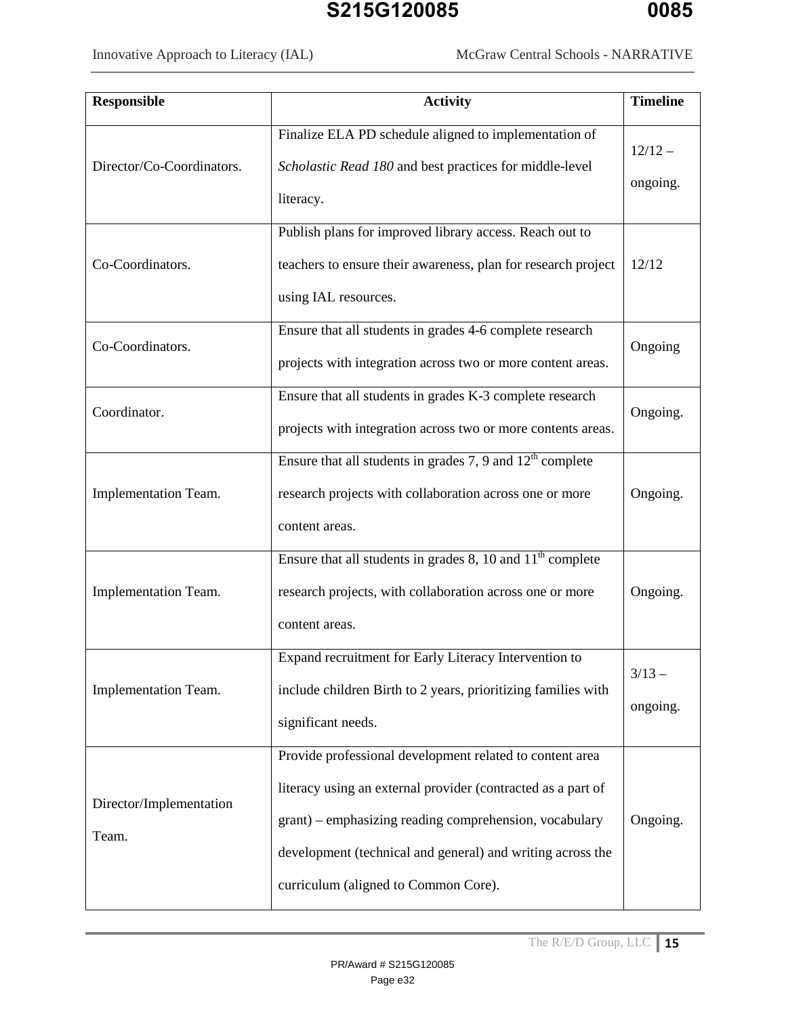Innovative Approach to Literacy (IAL) McGraw Central Schools - NARRATIVE

| <b>Responsible</b>               | <b>Activity</b>                                                                                                                                                                                                                                                                          | <b>Timeline</b>       |
|----------------------------------|------------------------------------------------------------------------------------------------------------------------------------------------------------------------------------------------------------------------------------------------------------------------------------------|-----------------------|
| Director/Co-Coordinators.        | Finalize ELA PD schedule aligned to implementation of<br>Scholastic Read 180 and best practices for middle-level<br>literacy.                                                                                                                                                            | $12/12 -$<br>ongoing. |
| Co-Coordinators.                 | Publish plans for improved library access. Reach out to<br>teachers to ensure their awareness, plan for research project<br>using IAL resources.                                                                                                                                         | 12/12                 |
| Co-Coordinators.                 | Ensure that all students in grades 4-6 complete research<br>projects with integration across two or more content areas.                                                                                                                                                                  | Ongoing               |
| Coordinator.                     | Ensure that all students in grades K-3 complete research<br>projects with integration across two or more contents areas.                                                                                                                                                                 | Ongoing.              |
| Implementation Team.             | Ensure that all students in grades 7, 9 and $12th$ complete<br>research projects with collaboration across one or more<br>content areas.                                                                                                                                                 | Ongoing.              |
| Implementation Team.             | Ensure that all students in grades $8$ , 10 and $11th$ complete<br>research projects, with collaboration across one or more<br>content areas.                                                                                                                                            | Ongoing.              |
| Implementation Team.             | Expand recruitment for Early Literacy Intervention to<br>include children Birth to 2 years, prioritizing families with<br>significant needs.                                                                                                                                             | $3/13 -$<br>ongoing.  |
| Director/Implementation<br>Team. | Provide professional development related to content area<br>literacy using an external provider (contracted as a part of<br>grant) – emphasizing reading comprehension, vocabulary<br>development (technical and general) and writing across the<br>curriculum (aligned to Common Core). | Ongoing.              |

The R/E/D Group, LLC 15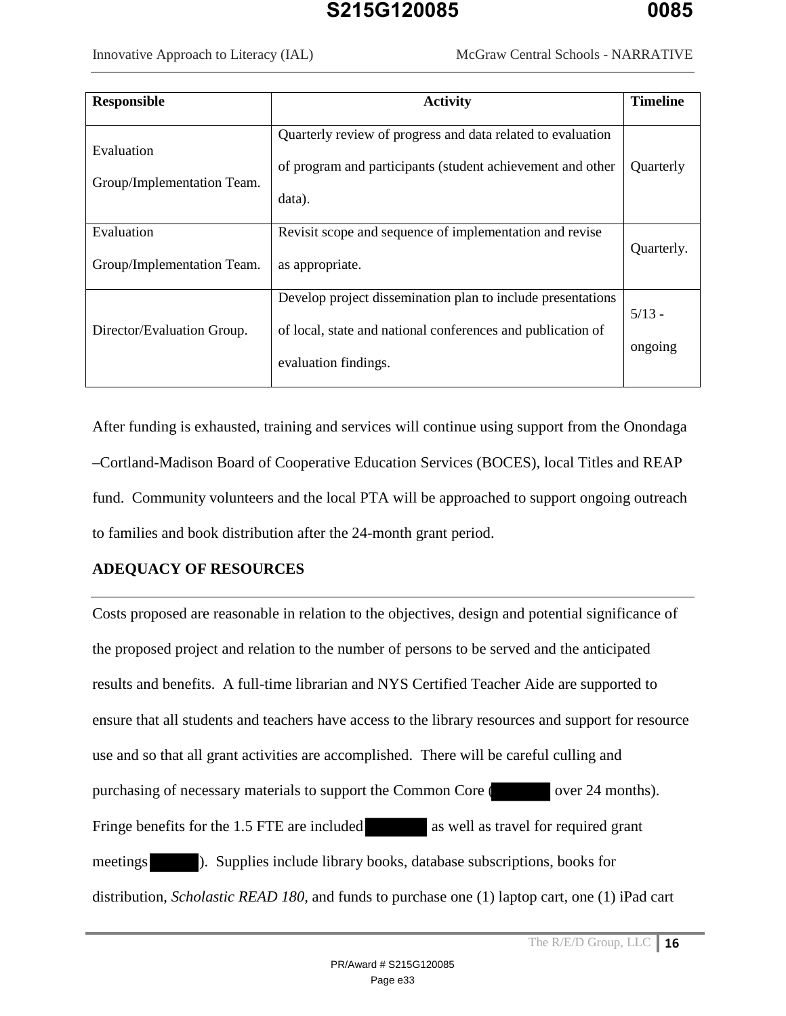| <b>Responsible</b>                       | <b>Activity</b>                                                                                                                                    | <b>Timeline</b>     |
|------------------------------------------|----------------------------------------------------------------------------------------------------------------------------------------------------|---------------------|
|                                          |                                                                                                                                                    |                     |
| Evaluation<br>Group/Implementation Team. | Quarterly review of progress and data related to evaluation<br>of program and participants (student achievement and other<br>data).                | Quarterly           |
| Evaluation<br>Group/Implementation Team. | Revisit scope and sequence of implementation and revise<br>as appropriate.                                                                         | Quarterly.          |
| Director/Evaluation Group.               | Develop project dissemination plan to include presentations<br>of local, state and national conferences and publication of<br>evaluation findings. | $5/13 -$<br>ongoing |

After funding is exhausted, training and services will continue using support from the Onondaga –Cortland-Madison Board of Cooperative Education Services (BOCES), local Titles and REAP fund. Community volunteers and the local PTA will be approached to support ongoing outreach to families and book distribution after the 24-month grant period.

#### **ADEQUACY OF RESOURCES**

Costs proposed are reasonable in relation to the objectives, design and potential significance of the proposed project and relation to the number of persons to be served and the anticipated results and benefits. A full-time librarian and NYS Certified Teacher Aide are supported to ensure that all students and teachers have access to the library resources and support for resource use and so that all grant activities are accomplished. There will be careful culling and purchasing of necessary materials to support the Common Core ( over 24 months). Fringe benefits for the 1.5 FTE are included as well as travel for required grant meetings ). Supplies include library books, database subscriptions, books for distribution, *Scholastic READ 180,* and funds to purchase one (1) laptop cart, one (1) iPad cart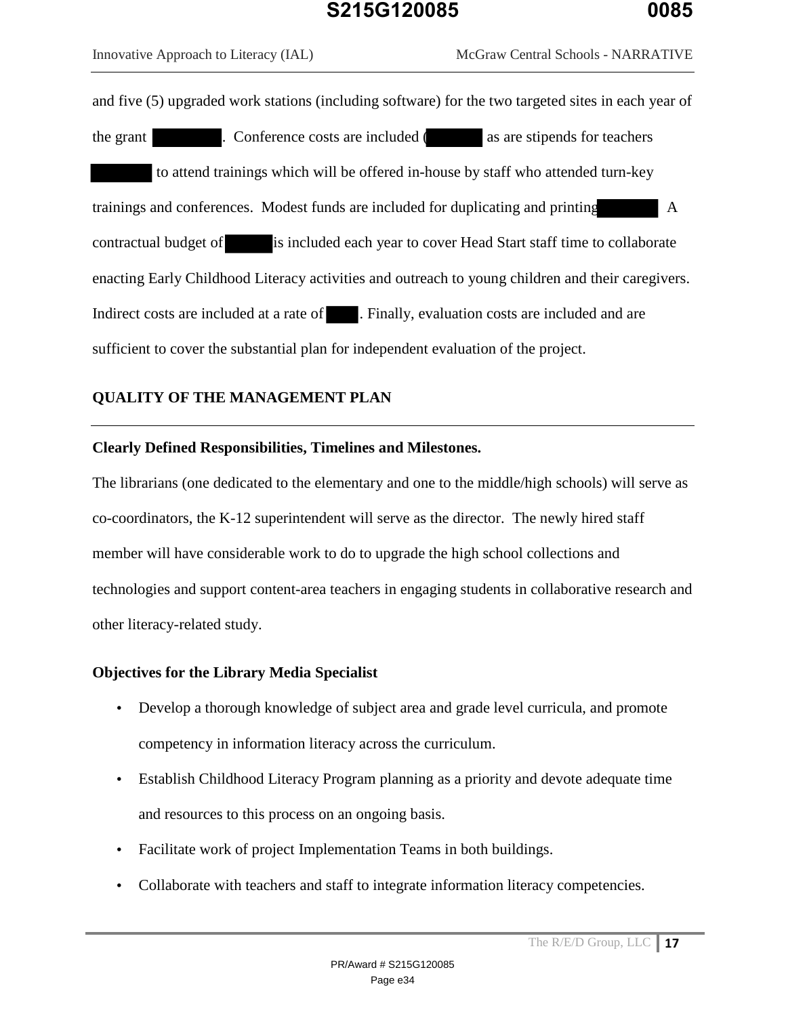Innovative Approach to Literacy (IAL) McGraw Central Schools - NARRATIVE

and five (5) upgraded work stations (including software) for the two targeted sites in each year of the grant . Conference costs are included ( as are stipends for teachers to attend trainings which will be offered in-house by staff who attended turn-key trainings and conferences. Modest funds are included for duplicating and printing A contractual budget of is included each year to cover Head Start staff time to collaborate enacting Early Childhood Literacy activities and outreach to young children and their caregivers. Indirect costs are included at a rate of . Finally, evaluation costs are included and are sufficient to cover the substantial plan for independent evaluation of the project.

### **QUALITY OF THE MANAGEMENT PLAN**

#### **Clearly Defined Responsibilities, Timelines and Milestones.**

The librarians (one dedicated to the elementary and one to the middle/high schools) will serve as co-coordinators, the K-12 superintendent will serve as the director. The newly hired staff member will have considerable work to do to upgrade the high school collections and technologies and support content-area teachers in engaging students in collaborative research and other literacy-related study.

#### **Objectives for the Library Media Specialist**

- Develop a thorough knowledge of subject area and grade level curricula, and promote competency in information literacy across the curriculum.
- Establish Childhood Literacy Program planning as a priority and devote adequate time and resources to this process on an ongoing basis.
- Facilitate work of project Implementation Teams in both buildings.
- Collaborate with teachers and staff to integrate information literacy competencies.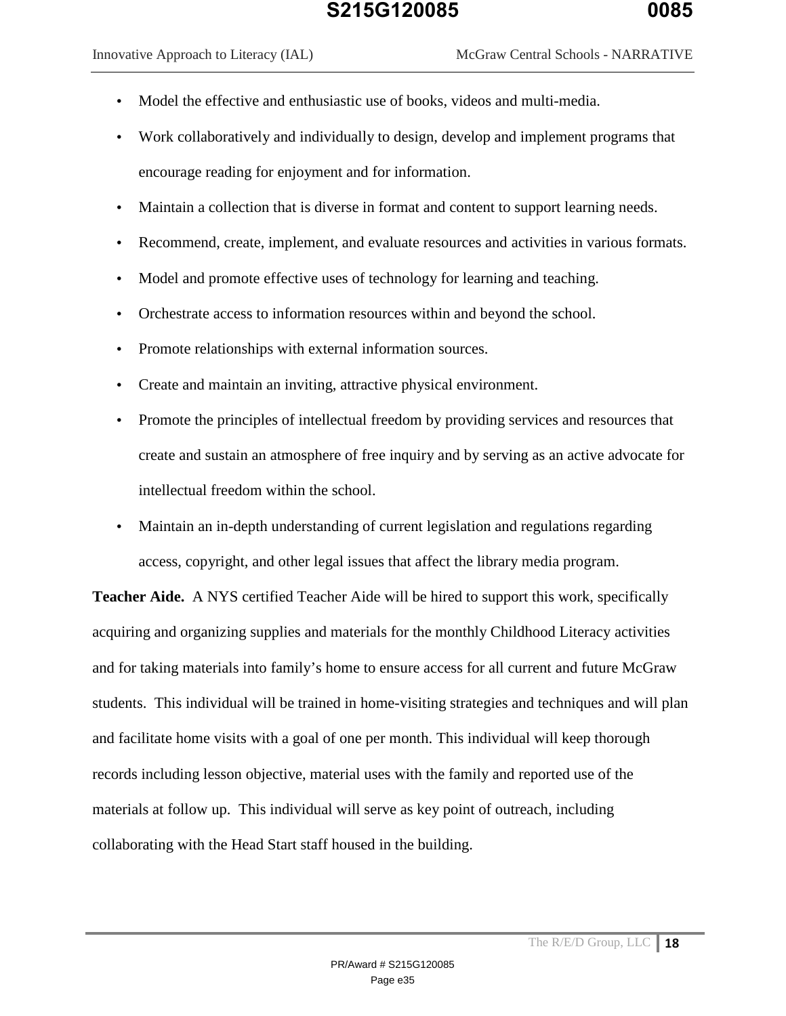- Model the effective and enthusiastic use of books, videos and multi-media.
- Work collaboratively and individually to design, develop and implement programs that encourage reading for enjoyment and for information.
- Maintain a collection that is diverse in format and content to support learning needs.
- Recommend, create, implement, and evaluate resources and activities in various formats.
- Model and promote effective uses of technology for learning and teaching.
- Orchestrate access to information resources within and beyond the school.
- Promote relationships with external information sources.
- Create and maintain an inviting, attractive physical environment.
- Promote the principles of intellectual freedom by providing services and resources that create and sustain an atmosphere of free inquiry and by serving as an active advocate for intellectual freedom within the school.
- Maintain an in-depth understanding of current legislation and regulations regarding access, copyright, and other legal issues that affect the library media program.

**Teacher Aide.** A NYS certified Teacher Aide will be hired to support this work, specifically acquiring and organizing supplies and materials for the monthly Childhood Literacy activities and for taking materials into family's home to ensure access for all current and future McGraw students. This individual will be trained in home-visiting strategies and techniques and will plan and facilitate home visits with a goal of one per month. This individual will keep thorough records including lesson objective, material uses with the family and reported use of the materials at follow up. This individual will serve as key point of outreach, including collaborating with the Head Start staff housed in the building.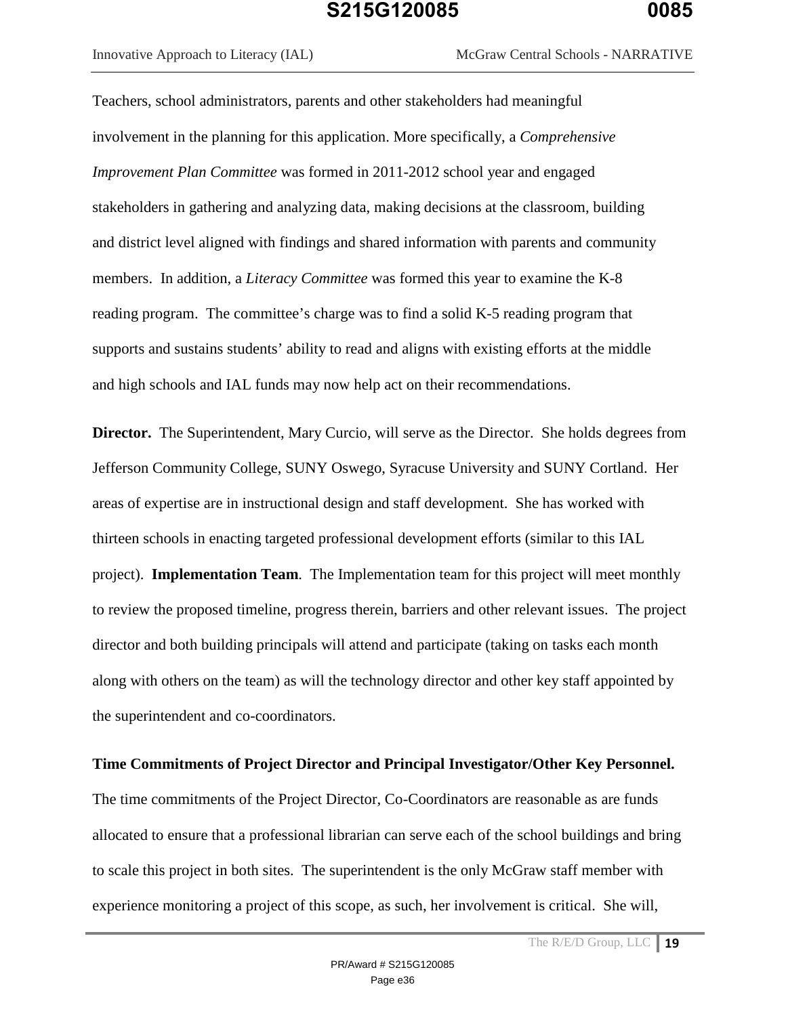Innovative Approach to Literacy (IAL) McGraw Central Schools - NARRATIVE

Teachers, school administrators, parents and other stakeholders had meaningful involvement in the planning for this application. More specifically, a *Comprehensive Improvement Plan Committee* was formed in 2011-2012 school year and engaged stakeholders in gathering and analyzing data, making decisions at the classroom, building and district level aligned with findings and shared information with parents and community members. In addition, a *Literacy Committee* was formed this year to examine the K-8 reading program. The committee's charge was to find a solid K-5 reading program that supports and sustains students' ability to read and aligns with existing efforts at the middle and high schools and IAL funds may now help act on their recommendations.

**Director.** The Superintendent, Mary Curcio, will serve as the Director. She holds degrees from Jefferson Community College, SUNY Oswego, Syracuse University and SUNY Cortland. Her areas of expertise are in instructional design and staff development. She has worked with thirteen schools in enacting targeted professional development efforts (similar to this IAL project). **Implementation Team**. The Implementation team for this project will meet monthly to review the proposed timeline, progress therein, barriers and other relevant issues. The project director and both building principals will attend and participate (taking on tasks each month along with others on the team) as will the technology director and other key staff appointed by the superintendent and co-coordinators.

#### **Time Commitments of Project Director and Principal Investigator/Other Key Personnel.**

The time commitments of the Project Director, Co-Coordinators are reasonable as are funds allocated to ensure that a professional librarian can serve each of the school buildings and bring to scale this project in both sites. The superintendent is the only McGraw staff member with experience monitoring a project of this scope, as such, her involvement is critical. She will,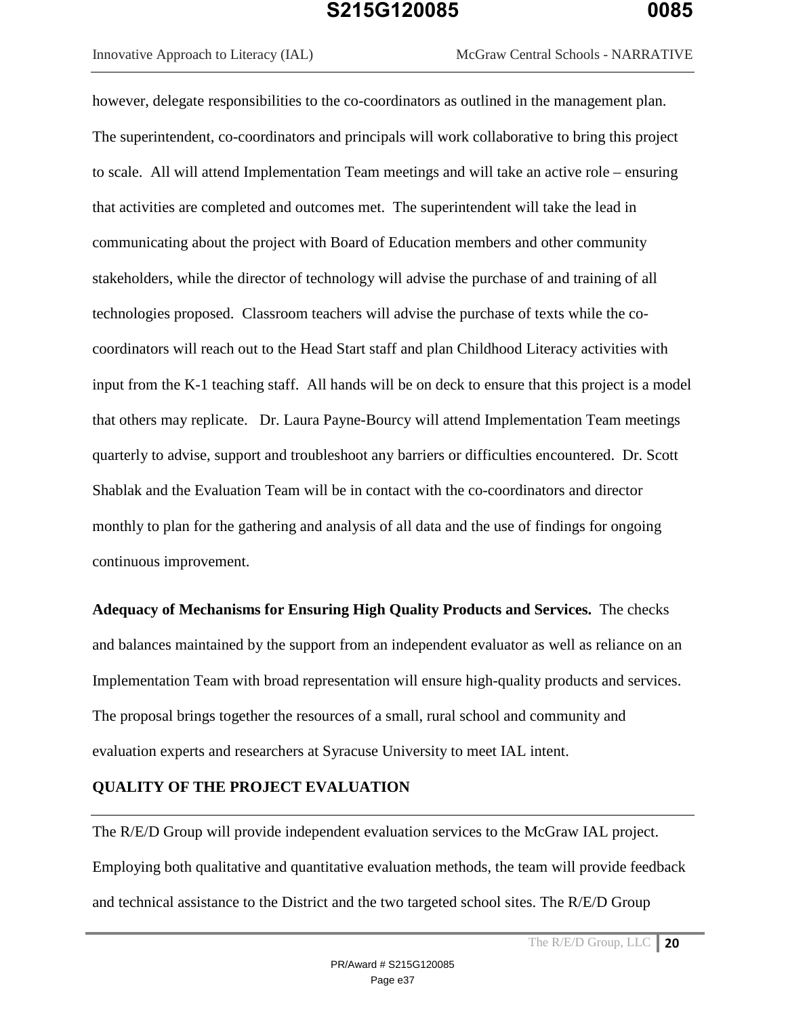however, delegate responsibilities to the co-coordinators as outlined in the management plan. The superintendent, co-coordinators and principals will work collaborative to bring this project to scale. All will attend Implementation Team meetings and will take an active role – ensuring that activities are completed and outcomes met. The superintendent will take the lead in communicating about the project with Board of Education members and other community stakeholders, while the director of technology will advise the purchase of and training of all technologies proposed. Classroom teachers will advise the purchase of texts while the cocoordinators will reach out to the Head Start staff and plan Childhood Literacy activities with input from the K-1 teaching staff. All hands will be on deck to ensure that this project is a model that others may replicate. Dr. Laura Payne-Bourcy will attend Implementation Team meetings quarterly to advise, support and troubleshoot any barriers or difficulties encountered. Dr. Scott Shablak and the Evaluation Team will be in contact with the co-coordinators and director monthly to plan for the gathering and analysis of all data and the use of findings for ongoing continuous improvement.

**Adequacy of Mechanisms for Ensuring High Quality Products and Services.** The checks and balances maintained by the support from an independent evaluator as well as reliance on an Implementation Team with broad representation will ensure high-quality products and services. The proposal brings together the resources of a small, rural school and community and evaluation experts and researchers at Syracuse University to meet IAL intent.

#### **QUALITY OF THE PROJECT EVALUATION**

The R/E/D Group will provide independent evaluation services to the McGraw IAL project. Employing both qualitative and quantitative evaluation methods, the team will provide feedback and technical assistance to the District and the two targeted school sites. The R/E/D Group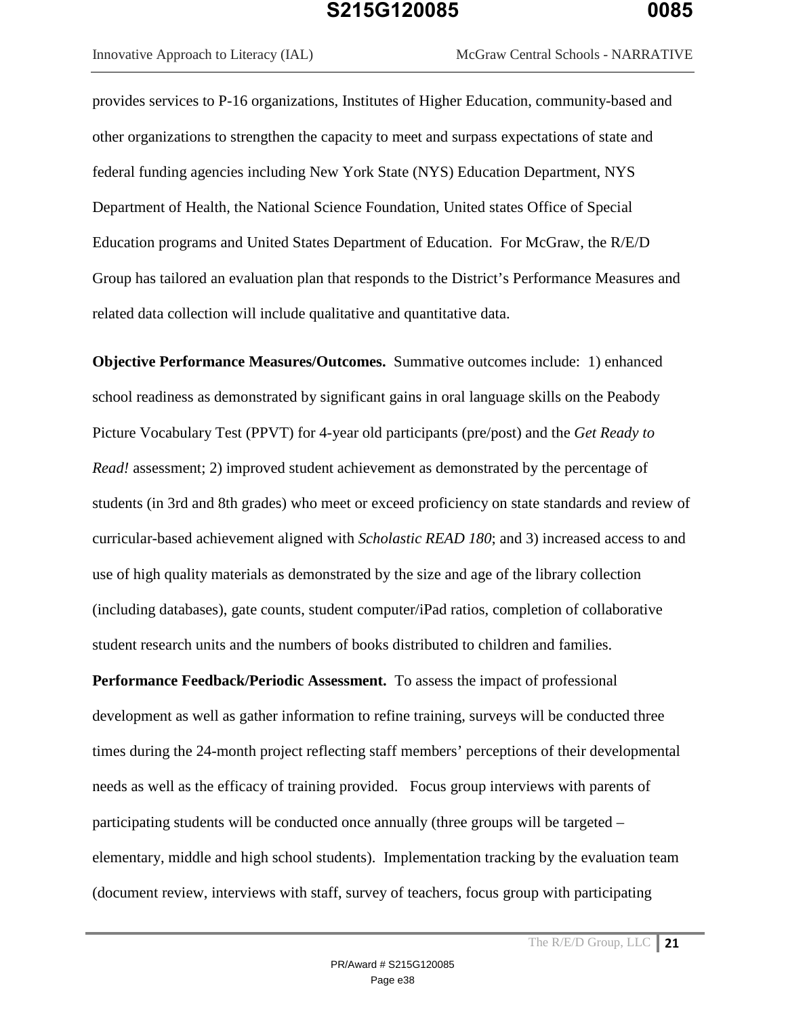Innovative Approach to Literacy (IAL) McGraw Central Schools - NARRATIVE

provides services to P-16 organizations, Institutes of Higher Education, community-based and other organizations to strengthen the capacity to meet and surpass expectations of state and federal funding agencies including New York State (NYS) Education Department, NYS Department of Health, the National Science Foundation, United states Office of Special Education programs and United States Department of Education. For McGraw, the R/E/D Group has tailored an evaluation plan that responds to the District's Performance Measures and related data collection will include qualitative and quantitative data.

**Objective Performance Measures/Outcomes.** Summative outcomes include: 1) enhanced school readiness as demonstrated by significant gains in oral language skills on the Peabody Picture Vocabulary Test (PPVT) for 4-year old participants (pre/post) and the *Get Ready to Read!* assessment; 2) improved student achievement as demonstrated by the percentage of students (in 3rd and 8th grades) who meet or exceed proficiency on state standards and review of curricular-based achievement aligned with *Scholastic READ 180*; and 3) increased access to and use of high quality materials as demonstrated by the size and age of the library collection (including databases), gate counts, student computer/iPad ratios, completion of collaborative student research units and the numbers of books distributed to children and families.

**Performance Feedback/Periodic Assessment.** To assess the impact of professional development as well as gather information to refine training, surveys will be conducted three times during the 24-month project reflecting staff members' perceptions of their developmental needs as well as the efficacy of training provided. Focus group interviews with parents of participating students will be conducted once annually (three groups will be targeted – elementary, middle and high school students). Implementation tracking by the evaluation team (document review, interviews with staff, survey of teachers, focus group with participating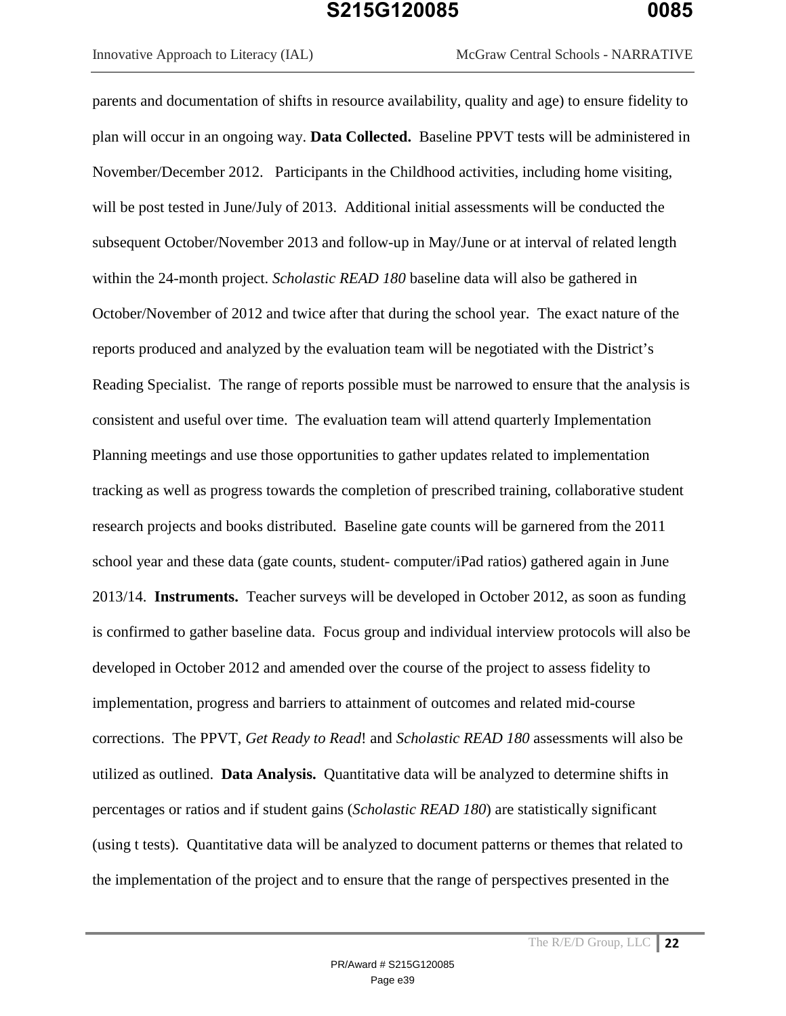parents and documentation of shifts in resource availability, quality and age) to ensure fidelity to plan will occur in an ongoing way. **Data Collected.** Baseline PPVT tests will be administered in November/December 2012. Participants in the Childhood activities, including home visiting, will be post tested in June/July of 2013. Additional initial assessments will be conducted the subsequent October/November 2013 and follow-up in May/June or at interval of related length within the 24-month project. *Scholastic READ 180* baseline data will also be gathered in October/November of 2012 and twice after that during the school year. The exact nature of the reports produced and analyzed by the evaluation team will be negotiated with the District's Reading Specialist. The range of reports possible must be narrowed to ensure that the analysis is consistent and useful over time. The evaluation team will attend quarterly Implementation Planning meetings and use those opportunities to gather updates related to implementation tracking as well as progress towards the completion of prescribed training, collaborative student research projects and books distributed. Baseline gate counts will be garnered from the 2011 school year and these data (gate counts, student- computer/iPad ratios) gathered again in June 2013/14. **Instruments.** Teacher surveys will be developed in October 2012, as soon as funding is confirmed to gather baseline data. Focus group and individual interview protocols will also be developed in October 2012 and amended over the course of the project to assess fidelity to implementation, progress and barriers to attainment of outcomes and related mid-course corrections. The PPVT, *Get Ready to Read*! and *Scholastic READ 180* assessments will also be utilized as outlined. **Data Analysis.** Quantitative data will be analyzed to determine shifts in percentages or ratios and if student gains (*Scholastic READ 180*) are statistically significant (using t tests). Quantitative data will be analyzed to document patterns or themes that related to the implementation of the project and to ensure that the range of perspectives presented in the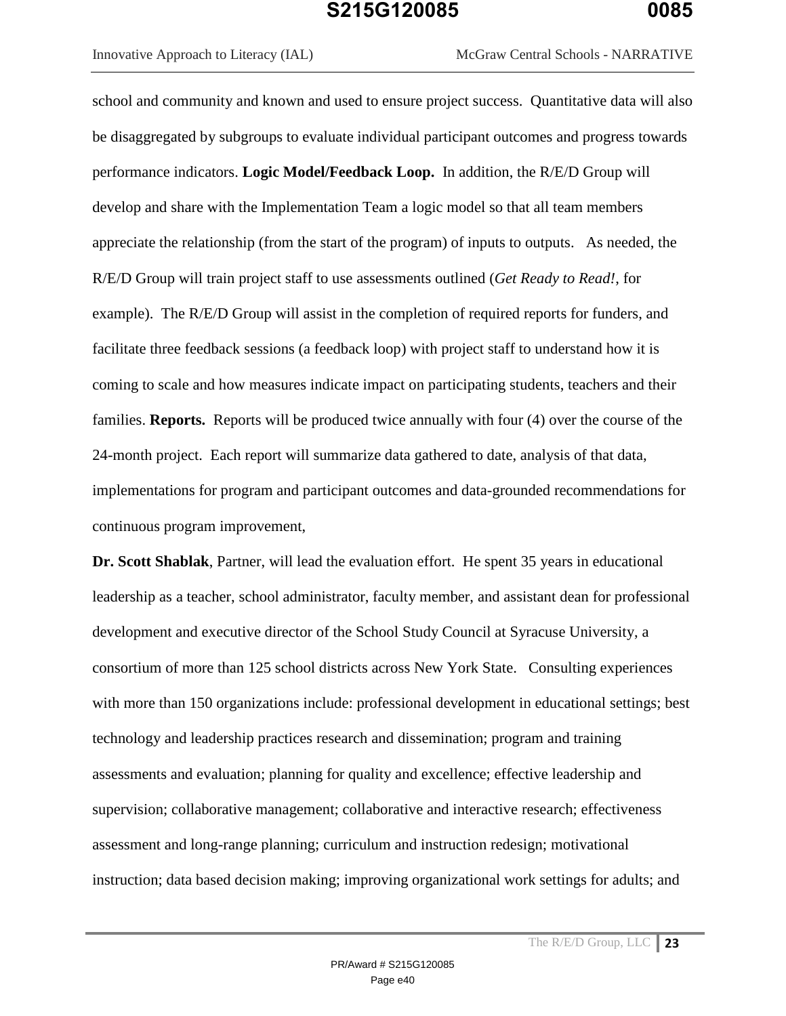Innovative Approach to Literacy (IAL) McGraw Central Schools - NARRATIVE

school and community and known and used to ensure project success. Quantitative data will also be disaggregated by subgroups to evaluate individual participant outcomes and progress towards performance indicators. **Logic Model/Feedback Loop.** In addition, the R/E/D Group will develop and share with the Implementation Team a logic model so that all team members appreciate the relationship (from the start of the program) of inputs to outputs. As needed, the R/E/D Group will train project staff to use assessments outlined (*Get Ready to Read!*, for example). The R/E/D Group will assist in the completion of required reports for funders, and facilitate three feedback sessions (a feedback loop) with project staff to understand how it is coming to scale and how measures indicate impact on participating students, teachers and their families. **Reports.** Reports will be produced twice annually with four (4) over the course of the 24-month project. Each report will summarize data gathered to date, analysis of that data, implementations for program and participant outcomes and data-grounded recommendations for continuous program improvement,

**Dr. Scott Shablak**, Partner, will lead the evaluation effort. He spent 35 years in educational leadership as a teacher, school administrator, faculty member, and assistant dean for professional development and executive director of the School Study Council at Syracuse University, a consortium of more than 125 school districts across New York State. Consulting experiences with more than 150 organizations include: professional development in educational settings; best technology and leadership practices research and dissemination; program and training assessments and evaluation; planning for quality and excellence; effective leadership and supervision; collaborative management; collaborative and interactive research; effectiveness assessment and long-range planning; curriculum and instruction redesign; motivational instruction; data based decision making; improving organizational work settings for adults; and